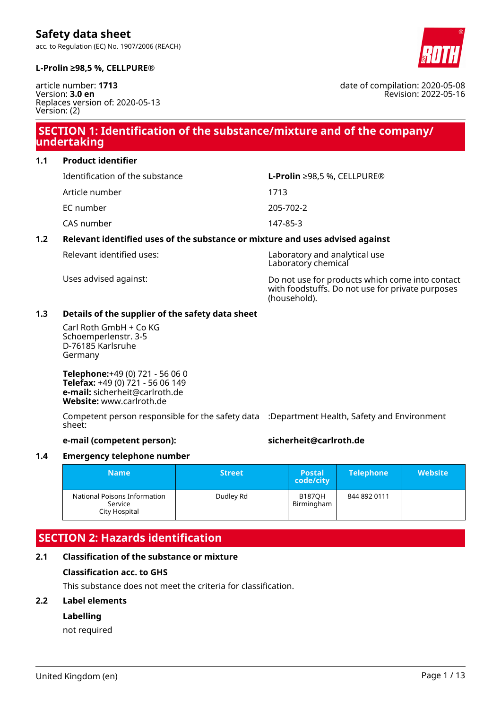acc. to Regulation (EC) No. 1907/2006 (REACH)



date of compilation: 2020-05-08

Revision: 2022-05-16

#### **L-Prolin ≥98,5 %, CELLPURE®**

article number: **1713** Version: **3.0 en** Replaces version of: 2020-05-13 Version: (2)

# **SECTION 1: Identification of the substance/mixture and of the company/ undertaking**

**1.1 Product identifier**

| Identification of the substance | <b>L-Prolin</b> $\geq$ 98,5 %, CELLPURE® |
|---------------------------------|------------------------------------------|
| Article number                  | 1713                                     |
| EC number                       | 205-702-2                                |
| CAS number                      | 147-85-3                                 |
|                                 |                                          |

#### **1.2 Relevant identified uses of the substance or mixture and uses advised against**

Relevant identified uses: Laboratory and analytical use Laboratory chemical

Uses advised against: Do not use for products which come into contact with foodstuffs. Do not use for private purposes (household).

#### **1.3 Details of the supplier of the safety data sheet**

Carl Roth GmbH + Co KG Schoemperlenstr. 3-5 D-76185 Karlsruhe Germany

**Telephone:**+49 (0) 721 - 56 06 0 **Telefax:** +49 (0) 721 - 56 06 149 **e-mail:** sicherheit@carlroth.de **Website:** www.carlroth.de

Competent person responsible for the safety data :Department Health, Safety and Environment sheet:

#### **e-mail (competent person): sicherheit@carlroth.de**

#### **1.4 Emergency telephone number**

| <b>Name</b>                                              | <b>Street</b> | <b>Postal</b><br>code/city  | <b>Telephone</b> | <b>Website</b> |
|----------------------------------------------------------|---------------|-----------------------------|------------------|----------------|
| National Poisons Information<br>Service<br>City Hospital | Dudley Rd     | <b>B187OH</b><br>Birmingham | 844 892 0111     |                |

### **SECTION 2: Hazards identification**

#### **2.1 Classification of the substance or mixture**

#### **Classification acc. to GHS**

This substance does not meet the criteria for classification.

#### **2.2 Label elements**

#### **Labelling**

not required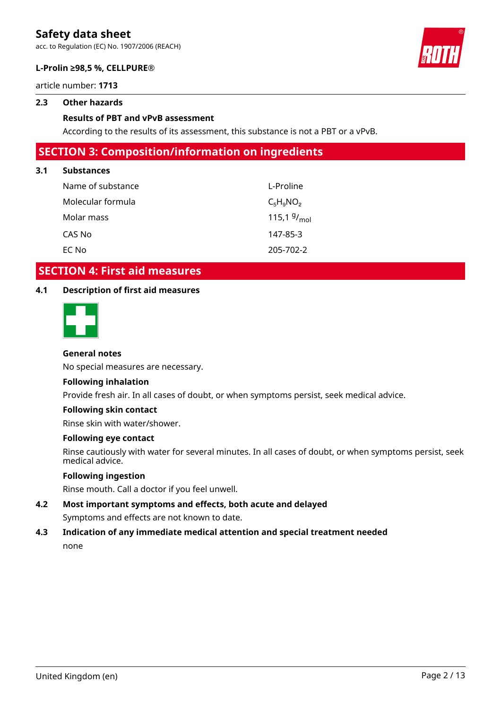acc. to Regulation (EC) No. 1907/2006 (REACH)



#### **L-Prolin ≥98,5 %, CELLPURE®**

article number: **1713**

#### **2.3 Other hazards**

#### **Results of PBT and vPvB assessment**

According to the results of its assessment, this substance is not a PBT or a vPvB.

### **SECTION 3: Composition/information on ingredients**

#### **3.1 Substances**

| Name of substance | L-Proline        |
|-------------------|------------------|
| Molecular formula | $C_5H_9NO_2$     |
| Molar mass        | 115,1 $9/_{mol}$ |
| CAS No            | 147-85-3         |
| EC No             | 205-702-2        |

### **SECTION 4: First aid measures**

#### **4.1 Description of first aid measures**



#### **General notes**

No special measures are necessary.

#### **Following inhalation**

Provide fresh air. In all cases of doubt, or when symptoms persist, seek medical advice.

#### **Following skin contact**

Rinse skin with water/shower.

#### **Following eye contact**

Rinse cautiously with water for several minutes. In all cases of doubt, or when symptoms persist, seek medical advice.

#### **Following ingestion**

Rinse mouth. Call a doctor if you feel unwell.

**4.2 Most important symptoms and effects, both acute and delayed** Symptoms and effects are not known to date.

### **4.3 Indication of any immediate medical attention and special treatment needed** none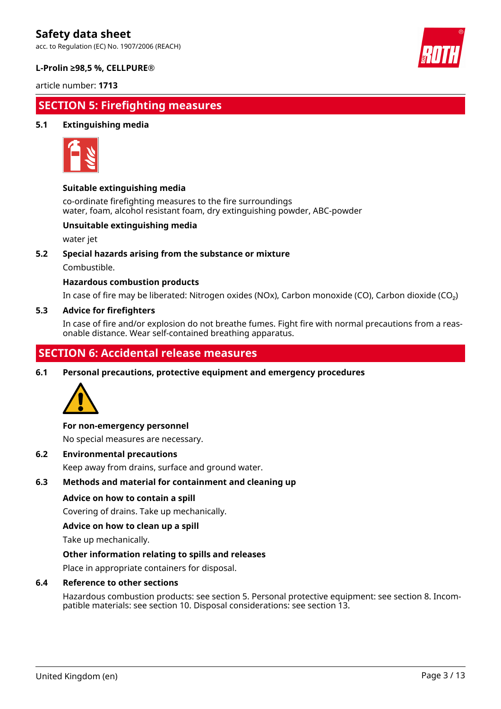acc. to Regulation (EC) No. 1907/2006 (REACH)



#### **L-Prolin ≥98,5 %, CELLPURE®**

article number: **1713**

# **SECTION 5: Firefighting measures**

#### **5.1 Extinguishing media**



#### **Suitable extinguishing media**

co-ordinate firefighting measures to the fire surroundings water, foam, alcohol resistant foam, dry extinguishing powder, ABC-powder

#### **Unsuitable extinguishing media**

water jet

#### **5.2 Special hazards arising from the substance or mixture**

Combustible.

#### **Hazardous combustion products**

In case of fire may be liberated: Nitrogen oxides (NOx), Carbon monoxide (CO), Carbon dioxide (CO₂)

#### **5.3 Advice for firefighters**

In case of fire and/or explosion do not breathe fumes. Fight fire with normal precautions from a reasonable distance. Wear self-contained breathing apparatus.

# **SECTION 6: Accidental release measures**

**6.1 Personal precautions, protective equipment and emergency procedures**



#### **For non-emergency personnel**

No special measures are necessary.

#### **6.2 Environmental precautions**

Keep away from drains, surface and ground water.

#### **6.3 Methods and material for containment and cleaning up**

#### **Advice on how to contain a spill**

Covering of drains. Take up mechanically.

#### **Advice on how to clean up a spill**

Take up mechanically.

#### **Other information relating to spills and releases**

Place in appropriate containers for disposal.

#### **6.4 Reference to other sections**

Hazardous combustion products: see section 5. Personal protective equipment: see section 8. Incompatible materials: see section 10. Disposal considerations: see section 13.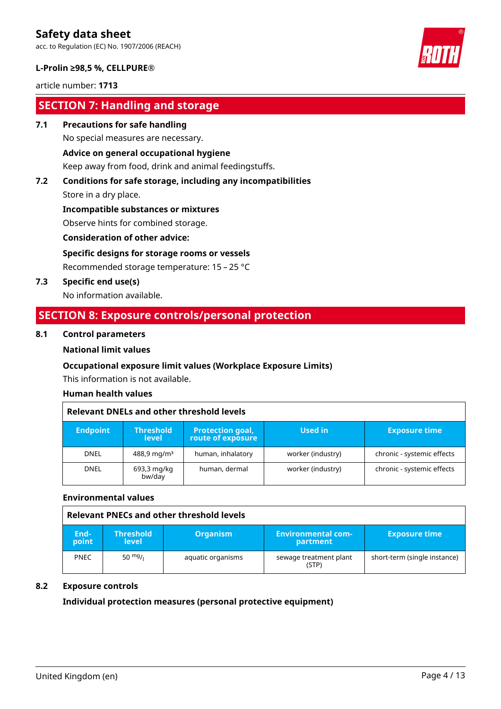acc. to Regulation (EC) No. 1907/2006 (REACH)



#### **L-Prolin ≥98,5 %, CELLPURE®**

article number: **1713**

### **SECTION 7: Handling and storage**

**7.1 Precautions for safe handling**

No special measures are necessary.

#### **Advice on general occupational hygiene**

Keep away from food, drink and animal feedingstuffs.

# **7.2 Conditions for safe storage, including any incompatibilities**

Store in a dry place.

**Incompatible substances or mixtures**

Observe hints for combined storage.

**Consideration of other advice:**

#### **Specific designs for storage rooms or vessels**

Recommended storage temperature: 15 – 25 °C

**7.3 Specific end use(s)**

No information available.

## **SECTION 8: Exposure controls/personal protection**

#### **8.1 Control parameters**

#### **National limit values**

#### **Occupational exposure limit values (Workplace Exposure Limits)**

This information is not available.

#### **Human health values**

| Relevant DNELs and other threshold levels |                                  |                                              |                   |                            |  |
|-------------------------------------------|----------------------------------|----------------------------------------------|-------------------|----------------------------|--|
| <b>Endpoint</b>                           | <b>Threshold</b><br><b>level</b> | <b>Protection goal,</b><br>route of exposure | Used in           | <b>Exposure time</b>       |  |
| <b>DNEL</b>                               | $488.9 \,\mathrm{mg/m^3}$        | human, inhalatory                            | worker (industry) | chronic - systemic effects |  |
| <b>DNEL</b>                               | 693,3 mg/kg<br>bw/day            | human, dermal                                | worker (industry) | chronic - systemic effects |  |

#### **Environmental values**

|               | Relevant PNECs and other threshold levels |                   |                                         |                              |  |
|---------------|-------------------------------------------|-------------------|-----------------------------------------|------------------------------|--|
| End-<br>point | <b>Threshold</b><br>level                 | <b>Organism</b>   | <b>Environmental com-</b> '<br>partment | <b>Exposure time</b>         |  |
| <b>PNEC</b>   | 50 $mg/1$                                 | aquatic organisms | sewage treatment plant<br>(STP)         | short-term (single instance) |  |

#### **8.2 Exposure controls**

#### **Individual protection measures (personal protective equipment)**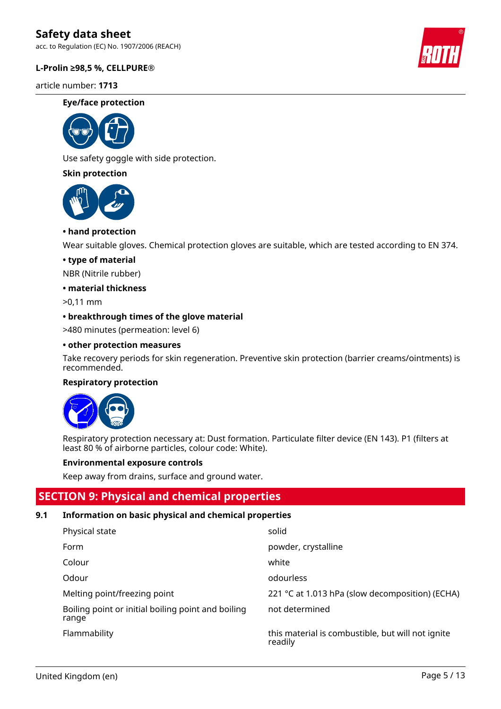acc. to Regulation (EC) No. 1907/2006 (REACH)

#### **L-Prolin ≥98,5 %, CELLPURE®**

article number: **1713**

#### **Eye/face protection**



Use safety goggle with side protection.

#### **Skin protection**



#### **• hand protection**

Wear suitable gloves. Chemical protection gloves are suitable, which are tested according to EN 374.

#### **• type of material**

NBR (Nitrile rubber)

#### **• material thickness**

>0,11 mm

#### **• breakthrough times of the glove material**

>480 minutes (permeation: level 6)

#### **• other protection measures**

Take recovery periods for skin regeneration. Preventive skin protection (barrier creams/ointments) is recommended.

#### **Respiratory protection**



Respiratory protection necessary at: Dust formation. Particulate filter device (EN 143). P1 (filters at least 80 % of airborne particles, colour code: White).

#### **Environmental exposure controls**

Keep away from drains, surface and ground water.

### **SECTION 9: Physical and chemical properties**

#### **9.1 Information on basic physical and chemical properties**

| Physical state                                              | solid                                                        |
|-------------------------------------------------------------|--------------------------------------------------------------|
| Form                                                        | powder, crystalline                                          |
| Colour                                                      | white                                                        |
| Odour                                                       | odourless                                                    |
| Melting point/freezing point                                | 221 °C at 1.013 hPa (slow decomposition) (ECHA)              |
| Boiling point or initial boiling point and boiling<br>range | not determined                                               |
| Flammability                                                | this material is combustible, but will not ignite<br>readily |

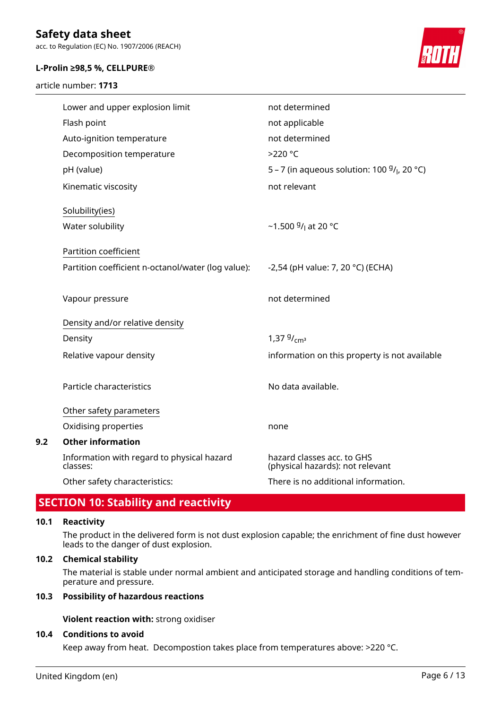acc. to Regulation (EC) No. 1907/2006 (REACH)

#### **L-Prolin ≥98,5 %, CELLPURE®**

article number: **1713**



| Lower and upper explosion limit                        | not determined                                                 |
|--------------------------------------------------------|----------------------------------------------------------------|
| Flash point                                            | not applicable                                                 |
| Auto-ignition temperature                              | not determined                                                 |
| Decomposition temperature                              | $>220$ °C                                                      |
| pH (value)                                             | 5 – 7 (in aqueous solution: 100 $9/$ <sub>l</sub> , 20 °C)     |
| Kinematic viscosity                                    | not relevant                                                   |
| Solubility(ies)                                        |                                                                |
| Water solubility                                       | ~1.500 $9/$ at 20 °C                                           |
|                                                        |                                                                |
| Partition coefficient                                  |                                                                |
| Partition coefficient n-octanol/water (log value):     | -2,54 (pH value: 7, 20 °C) (ECHA)                              |
|                                                        |                                                                |
| Vapour pressure                                        | not determined                                                 |
| Density and/or relative density                        |                                                                |
| Density                                                | 1,37 $9/cm^3$                                                  |
| Relative vapour density                                | information on this property is not available                  |
|                                                        |                                                                |
| Particle characteristics                               | No data available.                                             |
|                                                        |                                                                |
| Other safety parameters                                |                                                                |
| Oxidising properties                                   | none                                                           |
| <b>Other information</b>                               |                                                                |
| Information with regard to physical hazard<br>classes: | hazard classes acc. to GHS<br>(physical hazards): not relevant |
| Other safety characteristics:                          | There is no additional information.                            |

## **SECTION 10: Stability and reactivity**

#### **10.1 Reactivity**

**9.2 Other information**

The product in the delivered form is not dust explosion capable; the enrichment of fine dust however leads to the danger of dust explosion.

#### **10.2 Chemical stability**

The material is stable under normal ambient and anticipated storage and handling conditions of temperature and pressure.

#### **10.3 Possibility of hazardous reactions**

**Violent reaction with:** strong oxidiser

#### **10.4 Conditions to avoid**

Keep away from heat. Decompostion takes place from temperatures above: >220 °C.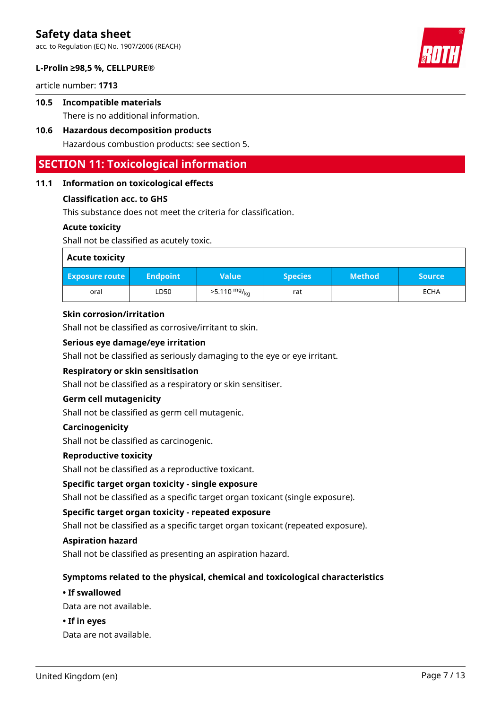acc. to Regulation (EC) No. 1907/2006 (REACH)

#### **L-Prolin ≥98,5 %, CELLPURE®**

article number: **1713**

### **10.5 Incompatible materials** There is no additional information.

# **10.6 Hazardous decomposition products**

Hazardous combustion products: see section 5.

### **SECTION 11: Toxicological information**

#### **11.1 Information on toxicological effects**

#### **Classification acc. to GHS**

This substance does not meet the criteria for classification.

#### **Acute toxicity**

Shall not be classified as acutely toxic.

| <b>Acute toxicity</b> |                   |                        |                |               |               |
|-----------------------|-------------------|------------------------|----------------|---------------|---------------|
| <b>Exposure route</b> | <b>Endpoint</b> \ | <b>Value</b>           | <b>Species</b> | <b>Method</b> | <b>Source</b> |
| oral                  | LD50              | $>5.110 \frac{mg}{kg}$ | rat            |               | <b>ECHA</b>   |

#### **Skin corrosion/irritation**

Shall not be classified as corrosive/irritant to skin.

#### **Serious eye damage/eye irritation**

Shall not be classified as seriously damaging to the eye or eye irritant.

#### **Respiratory or skin sensitisation**

Shall not be classified as a respiratory or skin sensitiser.

#### **Germ cell mutagenicity**

Shall not be classified as germ cell mutagenic.

#### **Carcinogenicity**

Shall not be classified as carcinogenic.

#### **Reproductive toxicity**

Shall not be classified as a reproductive toxicant.

#### **Specific target organ toxicity - single exposure**

Shall not be classified as a specific target organ toxicant (single exposure).

#### **Specific target organ toxicity - repeated exposure**

Shall not be classified as a specific target organ toxicant (repeated exposure).

#### **Aspiration hazard**

Shall not be classified as presenting an aspiration hazard.

#### **Symptoms related to the physical, chemical and toxicological characteristics**

#### **• If swallowed**

Data are not available.

#### **• If in eyes**

Data are not available.



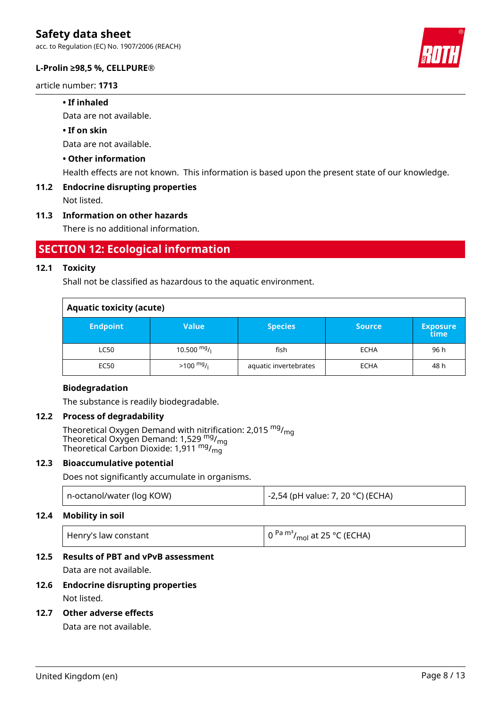acc. to Regulation (EC) No. 1907/2006 (REACH)

#### **L-Prolin ≥98,5 %, CELLPURE®**

article number: **1713**

#### **• If inhaled**

Data are not available.

#### **• If on skin**

Data are not available.

#### **• Other information**

Health effects are not known. This information is based upon the present state of our knowledge.

#### **11.2 Endocrine disrupting properties**

Not listed.

#### **11.3 Information on other hazards**

There is no additional information.

### **SECTION 12: Ecological information**

#### **12.1 Toxicity**

Shall not be classified as hazardous to the aquatic environment.

| <b>Aquatic toxicity (acute)</b> |                     |                       |               |                         |  |
|---------------------------------|---------------------|-----------------------|---------------|-------------------------|--|
| <b>Endpoint</b>                 | Value               | <b>Species</b>        | <b>Source</b> | <b>Exposure</b><br>time |  |
| <b>LC50</b>                     | 10.500 $mg/$        | fish                  | <b>ECHA</b>   | 96 h                    |  |
| EC50                            | $>100 \frac{mg}{l}$ | aquatic invertebrates | <b>ECHA</b>   | 48 h                    |  |

#### **Biodegradation**

The substance is readily biodegradable.

#### **12.2 Process of degradability**

Theoretical Oxygen Demand with nitrification: 2,015 <sup>mg</sup>/<sub>mg</sub> Theoretical Oxygen Demand: 1,529 <sup>mg</sup>/<sub>mg</sub> Theoretical Carbon Dioxide: 1,911  $^{\mathsf{mg}}\prime_{\mathsf{mg}}$ 

#### **12.3 Bioaccumulative potential**

Does not significantly accumulate in organisms.

| n-octanol/water (log KOW) | -2,54 (pH value: 7, 20 °C) (ECHA) |
|---------------------------|-----------------------------------|
|                           |                                   |

#### **12.4 Mobility in soil**

| Henry's law constant | $\left( 0^{Pa} \, \text{m}^3/\text{mol} \right)$ at 25 °C (ECHA) |
|----------------------|------------------------------------------------------------------|
|----------------------|------------------------------------------------------------------|

#### **12.5 Results of PBT and vPvB assessment**

Data are not available.

**12.6 Endocrine disrupting properties** Not listed.

### **12.7 Other adverse effects**

Data are not available.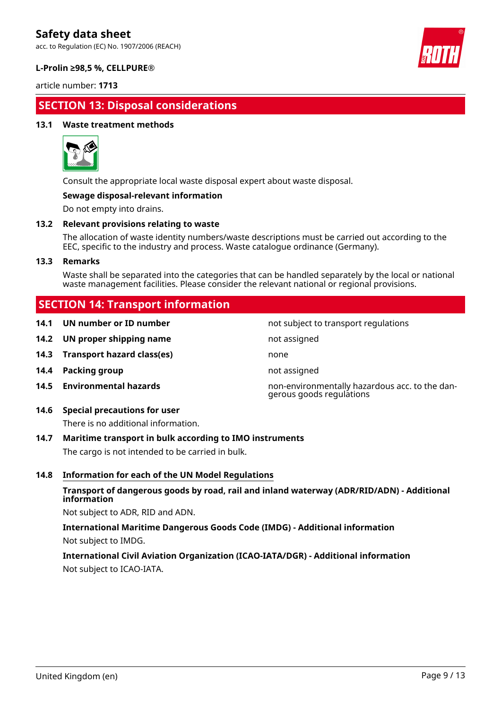acc. to Regulation (EC) No. 1907/2006 (REACH)



#### **L-Prolin ≥98,5 %, CELLPURE®**

article number: **1713**

# **SECTION 13: Disposal considerations**

#### **13.1 Waste treatment methods**



Consult the appropriate local waste disposal expert about waste disposal.

#### **Sewage disposal-relevant information**

Do not empty into drains.

#### **13.2 Relevant provisions relating to waste**

The allocation of waste identity numbers/waste descriptions must be carried out according to the EEC, specific to the industry and process. Waste catalogue ordinance (Germany).

#### **13.3 Remarks**

Waste shall be separated into the categories that can be handled separately by the local or national waste management facilities. Please consider the relevant national or regional provisions.

not subject to transport regulations

gerous goods regulations

# **SECTION 14: Transport information**

|  |  | 14.1 UN number or ID number |  |  |
|--|--|-----------------------------|--|--|
|--|--|-----------------------------|--|--|

- **14.2 UN proper shipping name** not assigned
- **14.3 Transport hazard class(es)** none
- **14.4 Packing group not assigned**
- **14.5 Environmental hazards** non-environmentally hazardous acc. to the dan-

### **14.6 Special precautions for user**

There is no additional information.

#### **14.7 Maritime transport in bulk according to IMO instruments**

The cargo is not intended to be carried in bulk.

#### **14.8 Information for each of the UN Model Regulations**

#### **Transport of dangerous goods by road, rail and inland waterway (ADR/RID/ADN) - Additional information**

Not subject to ADR, RID and ADN.

**International Maritime Dangerous Goods Code (IMDG) - Additional information** Not subject to IMDG.

### **International Civil Aviation Organization (ICAO-IATA/DGR) - Additional information** Not subject to ICAO-IATA.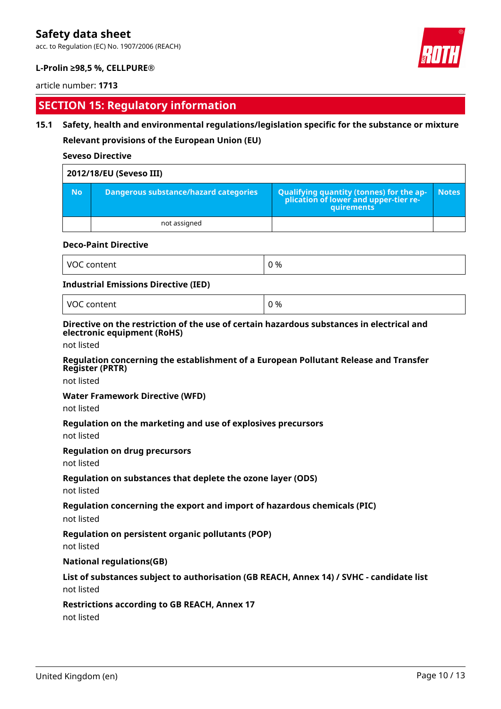acc. to Regulation (EC) No. 1907/2006 (REACH)



#### **L-Prolin ≥98,5 %, CELLPURE®**

#### article number: **1713**

# **SECTION 15: Regulatory information**

#### **15.1 Safety, health and environmental regulations/legislation specific for the substance or mixture**

**Relevant provisions of the European Union (EU)**

#### **Seveso Directive**

| 2012/18/EU (Seveso III) |                                       |                                                                                            |       |
|-------------------------|---------------------------------------|--------------------------------------------------------------------------------------------|-------|
| <b>No</b>               | Dangerous substance/hazard categories | Qualifying quantity (tonnes) for the application of lower and upper-tier re-<br>quirements | Notes |
|                         | not assigned                          |                                                                                            |       |

#### **Deco-Paint Directive**

| $\sqrt{100}$<br>$- - - - - - -$<br>$\mathcal{U}$<br><br>. ല പ<br>,,,,, | ገ % |
|------------------------------------------------------------------------|-----|
|------------------------------------------------------------------------|-----|

#### **Industrial Emissions Directive (IED)**

VOC content  $\begin{array}{|c|c|c|c|c|c|c|c|c|} \hline \multicolumn{1}{|c|}{\text{O}}\vartheta_0 & 0 \end{array}$ 

#### **Directive on the restriction of the use of certain hazardous substances in electrical and electronic equipment (RoHS)**

not listed

#### **Regulation concerning the establishment of a European Pollutant Release and Transfer Register (PRTR)**

not listed

#### **Water Framework Directive (WFD)**

not listed

#### **Regulation on the marketing and use of explosives precursors**

not listed

#### **Regulation on drug precursors**

not listed

#### **Regulation on substances that deplete the ozone layer (ODS)**

not listed

#### **Regulation concerning the export and import of hazardous chemicals (PIC)**

not listed

#### **Regulation on persistent organic pollutants (POP)**

not listed

#### **National regulations(GB)**

# **List of substances subject to authorisation (GB REACH, Annex 14) / SVHC - candidate list**

not listed

#### **Restrictions according to GB REACH, Annex 17**

not listed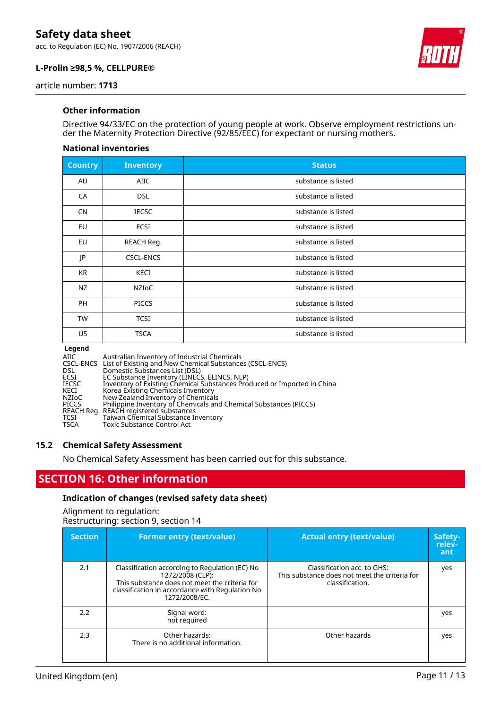acc. to Regulation (EC) No. 1907/2006 (REACH)



### **L-Prolin ≥98,5 %, CELLPURE®**

article number: **1713**

#### **Other information**

Directive 94/33/EC on the protection of young people at work. Observe employment restrictions under the Maternity Protection Directive (92/85/EEC) for expectant or nursing mothers.

#### **National inventories**

| <b>Country</b> | <b>Inventory</b> | <b>Status</b>       |
|----------------|------------------|---------------------|
| AU             | <b>AIIC</b>      | substance is listed |
| CA             | <b>DSL</b>       | substance is listed |
| <b>CN</b>      | <b>IECSC</b>     | substance is listed |
| EU             | ECSI             | substance is listed |
| EU             | REACH Reg.       | substance is listed |
| JP             | <b>CSCL-ENCS</b> | substance is listed |
| KR             | <b>KECI</b>      | substance is listed |
| NZ             | NZIOC            | substance is listed |
| <b>PH</b>      | <b>PICCS</b>     | substance is listed |
| TW             | <b>TCSI</b>      | substance is listed |
| US             | <b>TSCA</b>      | substance is listed |

#### **Legend**

| AIIC         | Australian Inventory of Industrial Chemicals                            |
|--------------|-------------------------------------------------------------------------|
|              | CSCL-ENCS List of Existing and New Chemical Substances (CSCL-ENCS)      |
| <b>DSL</b>   | Domestic Substances List (DSL)                                          |
| ECSI         | EC Substance Inventory (EINECS, ELINCS, NLP)                            |
| <b>IECSC</b> | Inventory of Existing Chemical Substances Produced or Imported in China |
| KECI         | Korea Existing Chemicals Inventory                                      |
| NZIoC        | New Zealand Inventory of Chemicals                                      |
| <b>PICCS</b> | Philippine Inventory of Chemicals and Chemical Substances (PICCS)       |
|              | REACH Reg. REACH registered substances                                  |
| <b>TCSI</b>  | Taiwan Chemical Substance Inventory                                     |
| <b>TSCA</b>  | <b>Toxic Substance Control Act</b>                                      |

#### **15.2 Chemical Safety Assessment**

No Chemical Safety Assessment has been carried out for this substance.

### **SECTION 16: Other information**

#### **Indication of changes (revised safety data sheet)**

Alignment to regulation: Restructuring: section 9, section 14

| <b>Section</b> | <b>Former entry (text/value)</b>                                                                                                                                                        | <b>Actual entry (text/value)</b>                                                                | Safety-<br>relev-<br>ant |
|----------------|-----------------------------------------------------------------------------------------------------------------------------------------------------------------------------------------|-------------------------------------------------------------------------------------------------|--------------------------|
| 2.1            | Classification according to Regulation (EC) No<br>1272/2008 (CLP):<br>This substance does not meet the criteria for<br>classification in accordance with Regulation No<br>1272/2008/EC. | Classification acc. to GHS:<br>This substance does not meet the criteria for<br>classification. | yes                      |
| 2.2            | Signal word:<br>not required                                                                                                                                                            |                                                                                                 | yes                      |
| 2.3            | Other hazards:<br>There is no additional information.                                                                                                                                   | Other hazards                                                                                   | yes                      |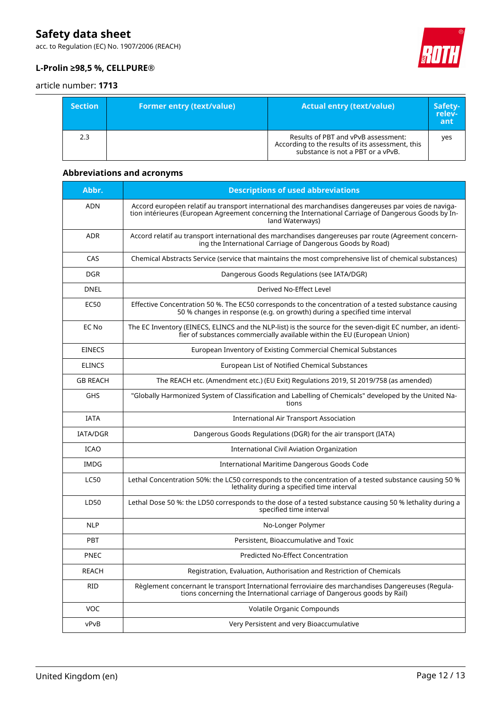acc. to Regulation (EC) No. 1907/2006 (REACH)



### **L-Prolin ≥98,5 %, CELLPURE®**

#### article number: **1713**

| <b>Section</b> | <b>Former entry (text/value)</b> | <b>Actual entry (text/value)</b>                                                                                             | Safety-<br>relev-<br>ant |
|----------------|----------------------------------|------------------------------------------------------------------------------------------------------------------------------|--------------------------|
| 2.3            |                                  | Results of PBT and vPvB assessment:<br>According to the results of its assessment, this<br>substance is not a PBT or a vPvB. | ves                      |

### **Abbreviations and acronyms**

| Abbr.           | <b>Descriptions of used abbreviations</b>                                                                                                                                                                                       |
|-----------------|---------------------------------------------------------------------------------------------------------------------------------------------------------------------------------------------------------------------------------|
| <b>ADN</b>      | Accord européen relatif au transport international des marchandises dangereuses par voies de naviga-<br>tion intérieures (European Agreement concerning the International Carriage of Dangerous Goods by In-<br>land Waterways) |
| <b>ADR</b>      | Accord relatif au transport international des marchandises dangereuses par route (Agreement concern-<br>ing the International Carriage of Dangerous Goods by Road)                                                              |
| CAS             | Chemical Abstracts Service (service that maintains the most comprehensive list of chemical substances)                                                                                                                          |
| <b>DGR</b>      | Dangerous Goods Regulations (see IATA/DGR)                                                                                                                                                                                      |
| <b>DNEL</b>     | Derived No-Effect Level                                                                                                                                                                                                         |
| EC50            | Effective Concentration 50 %. The EC50 corresponds to the concentration of a tested substance causing<br>50 % changes in response (e.g. on growth) during a specified time interval                                             |
| EC No           | The EC Inventory (EINECS, ELINCS and the NLP-list) is the source for the seven-digit EC number, an identi-<br>fier of substances commercially available within the EU (European Union)                                          |
| <b>EINECS</b>   | European Inventory of Existing Commercial Chemical Substances                                                                                                                                                                   |
| <b>ELINCS</b>   | European List of Notified Chemical Substances                                                                                                                                                                                   |
| <b>GB REACH</b> | The REACH etc. (Amendment etc.) (EU Exit) Regulations 2019, SI 2019/758 (as amended)                                                                                                                                            |
| GHS             | "Globally Harmonized System of Classification and Labelling of Chemicals" developed by the United Na-<br>tions                                                                                                                  |
| <b>IATA</b>     | <b>International Air Transport Association</b>                                                                                                                                                                                  |
| <b>IATA/DGR</b> | Dangerous Goods Regulations (DGR) for the air transport (IATA)                                                                                                                                                                  |
| <b>ICAO</b>     | International Civil Aviation Organization                                                                                                                                                                                       |
| <b>IMDG</b>     | International Maritime Dangerous Goods Code                                                                                                                                                                                     |
| <b>LC50</b>     | Lethal Concentration 50%: the LC50 corresponds to the concentration of a tested substance causing 50 %<br>lethality during a specified time interval                                                                            |
| LD50            | Lethal Dose 50 %: the LD50 corresponds to the dose of a tested substance causing 50 % lethality during a<br>specified time interval                                                                                             |
| <b>NLP</b>      | No-Longer Polymer                                                                                                                                                                                                               |
| <b>PBT</b>      | Persistent, Bioaccumulative and Toxic                                                                                                                                                                                           |
| <b>PNEC</b>     | Predicted No-Effect Concentration                                                                                                                                                                                               |
| <b>REACH</b>    | Registration, Evaluation, Authorisation and Restriction of Chemicals                                                                                                                                                            |
| RID             | Règlement concernant le transport International ferroviaire des marchandises Dangereuses (Regula-<br>tions concerning the International carriage of Dangerous goods by Rail)                                                    |
| VOC             | Volatile Organic Compounds                                                                                                                                                                                                      |
| vPvB            | Very Persistent and very Bioaccumulative                                                                                                                                                                                        |